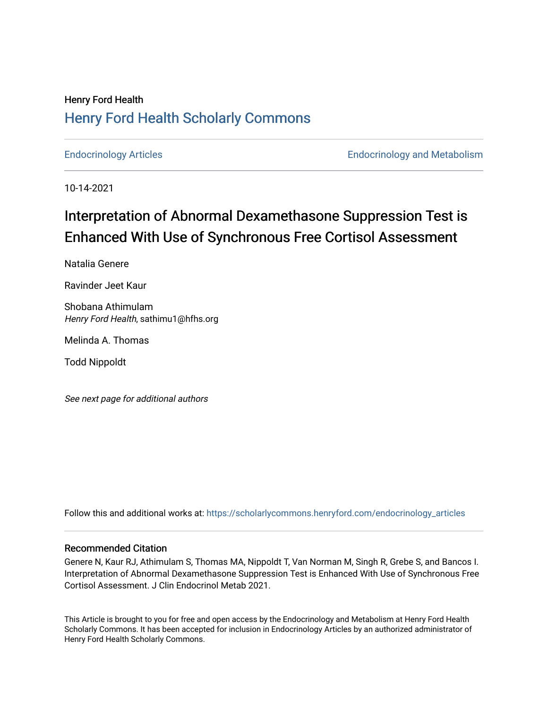# Henry Ford Health [Henry Ford Health Scholarly Commons](https://scholarlycommons.henryford.com/)

[Endocrinology Articles](https://scholarlycommons.henryford.com/endocrinology_articles) [Endocrinology and Metabolism](https://scholarlycommons.henryford.com/endocrinology) 

10-14-2021

# Interpretation of Abnormal Dexamethasone Suppression Test is Enhanced With Use of Synchronous Free Cortisol Assessment

Natalia Genere

Ravinder Jeet Kaur

Shobana Athimulam Henry Ford Health, sathimu1@hfhs.org

Melinda A. Thomas

Todd Nippoldt

See next page for additional authors

Follow this and additional works at: [https://scholarlycommons.henryford.com/endocrinology\\_articles](https://scholarlycommons.henryford.com/endocrinology_articles?utm_source=scholarlycommons.henryford.com%2Fendocrinology_articles%2F122&utm_medium=PDF&utm_campaign=PDFCoverPages)

# Recommended Citation

Genere N, Kaur RJ, Athimulam S, Thomas MA, Nippoldt T, Van Norman M, Singh R, Grebe S, and Bancos I. Interpretation of Abnormal Dexamethasone Suppression Test is Enhanced With Use of Synchronous Free Cortisol Assessment. J Clin Endocrinol Metab 2021.

This Article is brought to you for free and open access by the Endocrinology and Metabolism at Henry Ford Health Scholarly Commons. It has been accepted for inclusion in Endocrinology Articles by an authorized administrator of Henry Ford Health Scholarly Commons.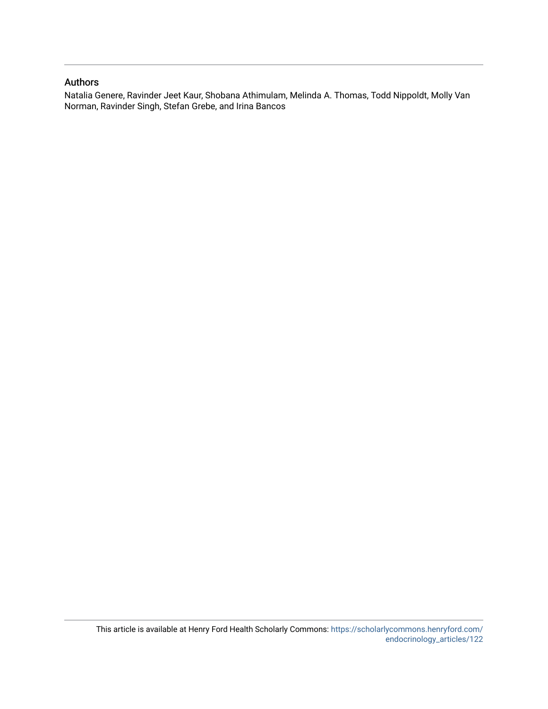# Authors

Natalia Genere, Ravinder Jeet Kaur, Shobana Athimulam, Melinda A. Thomas, Todd Nippoldt, Molly Van Norman, Ravinder Singh, Stefan Grebe, and Irina Bancos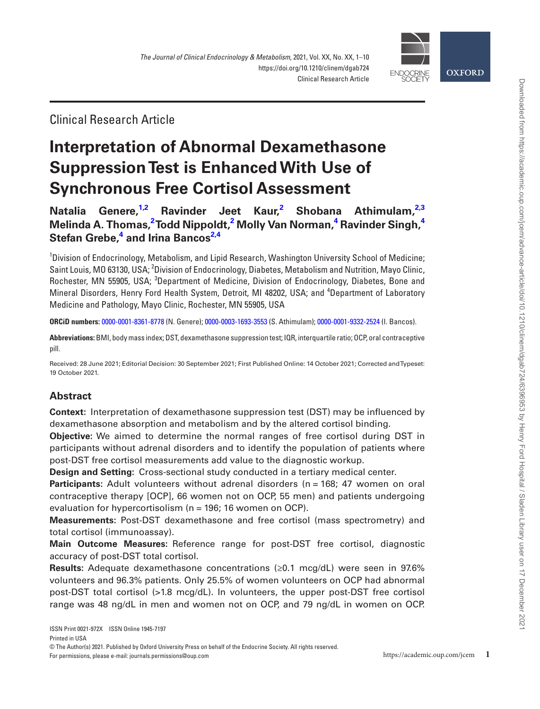

Clinical Research Article

# **Interpretation of Abnormal Dexamethasone Suppression Test is Enhanced With Use of Synchronous Free Cortisol Assessment**

**[Natalia](https://orcid.org/0000-0001-8361-8778)  Genere, [1](#page-2-0)[,2](#page-2-1) Ravinder Jeet Kaur, [2](#page-2-1) Shobana [Athimulam](https://orcid.org/0000-0003-1693-3553), [2](#page-2-1)[,3](#page-2-2) Melinda A. Thomas, [2](#page-2-1) Todd Nippoldt, [2](#page-2-1) Molly Van Norman, [4](#page-2-3) Ravinder Singh, [4](#page-2-3) Stefan Grebe, [4](#page-2-3) and [Irina Bancos](https://orcid.org/0000-0001-9332-2524)[2,](#page-2-1)[4](#page-2-3)**

<span id="page-2-2"></span><span id="page-2-1"></span><span id="page-2-0"></span>1 Division of Endocrinology, Metabolism, and Lipid Research, Washington University School of Medicine; Saint Louis, MO 63130, USA; <sup>2</sup>Division of Endocrinology, Diabetes, Metabolism and Nutrition, Mayo Clinic, Rochester, MN 55905, USA; <sup>3</sup>Department of Medicine, Division of Endocrinology, Diabetes, Bone and Mineral Disorders, Henry Ford Health System, Detroit, MI 48202, USA; and <sup>4</sup>Department of Laboratory Medicine and Pathology, Mayo Clinic, Rochester, MN 55905, USA

<span id="page-2-3"></span>**ORCiD numbers:** [0000-0001-8361-8778](https://orcid.org/0000-0001-8361-8778) (N. Genere); [0000-0003-1693-3553](https://orcid.org/0000-0003-1693-3553) (S. Athimulam); [0000-0001-9332-2524](https://orcid.org/0000-0001-9332-2524) (I. Bancos).

**Abbreviations:** BMI, body mass index; DST, dexamethasone suppression test; IQR, interquartile ratio; OCP, oral contraceptive pill.

Received: 28 June 2021; Editorial Decision: 30 September 2021; First Published Online: 14 October 2021; Corrected and Typeset: 19 October 2021.

# **Abstract**

**Context:** Interpretation of dexamethasone suppression test (DST) may be influenced by dexamethasone absorption and metabolism and by the altered cortisol binding.

**Objective:** We aimed to determine the normal ranges of free cortisol during DST in participants without adrenal disorders and to identify the population of patients where post-DST free cortisol measurements add value to the diagnostic workup.

**Design and Setting:** Cross-sectional study conducted in a tertiary medical center.

**Participants:** Adult volunteers without adrenal disorders (n = 168; 47 women on oral contraceptive therapy [OCP], 66 women not on OCP, 55 men) and patients undergoing evaluation for hypercortisolism (n = 196; 16 women on OCP).

**Measurements:** Post-DST dexamethasone and free cortisol (mass spectrometry) and total cortisol (immunoassay).

**Main Outcome Measures:** Reference range for post-DST free cortisol, diagnostic accuracy of post-DST total cortisol.

**Results:** Adequate dexamethasone concentrations (≥0.1 mcg/dL) were seen in 97.6% volunteers and 96.3% patients. Only 25.5% of women volunteers on OCP had abnormal post-DST total cortisol (>1.8 mcg/dL). In volunteers, the upper post-DST free cortisol range was 48 ng/dL in men and women not on OCP, and 79 ng/dL in women on OCP.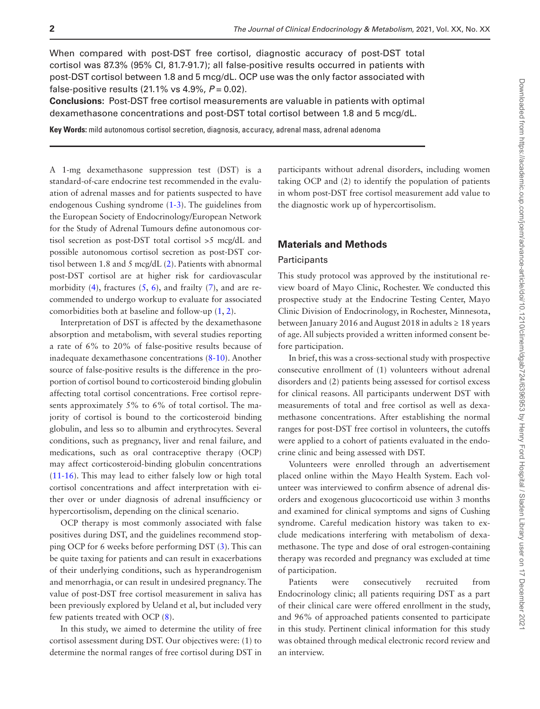When compared with post-DST free cortisol, diagnostic accuracy of post-DST total cortisol was 87.3% (95% CI, 81.7-91.7); all false-positive results occurred in patients with post-DST cortisol between 1.8 and 5 mcg/dL. OCP use was the only factor associated with false-positive results (21.1% vs 4.9%, *P* = 0.02).

**Conclusions:** Post-DST free cortisol measurements are valuable in patients with optimal dexamethasone concentrations and post-DST total cortisol between 1.8 and 5 mcg/dL.

**Key Words:** mild autonomous cortisol secretion, diagnosis, accuracy, adrenal mass, adrenal adenoma

A 1-mg dexamethasone suppression test (DST) is a standard-of-care endocrine test recommended in the evaluation of adrenal masses and for patients suspected to have endogenous Cushing syndrome [\(1-](#page-11-0)[3\)](#page-11-1). The guidelines from the European Society of Endocrinology/European Network for the Study of Adrenal Tumours define autonomous cortisol secretion as post-DST total cortisol >5 mcg/dL and possible autonomous cortisol secretion as post-DST cortisol between 1.8 and 5 mcg/dL ([2\)](#page-11-2). Patients with abnormal post-DST cortisol are at higher risk for cardiovascular morbidity  $(4)$  $(4)$ , fractures  $(5, 6)$  $(5, 6)$  $(5, 6)$  $(5, 6)$ , and frailty  $(7)$  $(7)$ , and are recommended to undergo workup to evaluate for associated comorbidities both at baseline and follow-up ([1,](#page-11-0) [2\)](#page-11-2).

Interpretation of DST is affected by the dexamethasone absorption and metabolism, with several studies reporting a rate of 6% to 20% of false-positive results because of inadequate dexamethasone concentrations ([8-](#page-11-7)[10](#page-11-8)). Another source of false-positive results is the difference in the proportion of cortisol bound to corticosteroid binding globulin affecting total cortisol concentrations. Free cortisol represents approximately 5% to 6% of total cortisol. The majority of cortisol is bound to the corticosteroid binding globulin, and less so to albumin and erythrocytes. Several conditions, such as pregnancy, liver and renal failure, and medications, such as oral contraceptive therapy (OCP) may affect corticosteroid-binding globulin concentrations ([11](#page-11-9)[-16](#page-11-10)). This may lead to either falsely low or high total cortisol concentrations and affect interpretation with either over or under diagnosis of adrenal insufficiency or hypercortisolism, depending on the clinical scenario.

OCP therapy is most commonly associated with false positives during DST, and the guidelines recommend stopping OCP for 6 weeks before performing DST [\(3\)](#page-11-1). This can be quite taxing for patients and can result in exacerbations of their underlying conditions, such as hyperandrogenism and menorrhagia, or can result in undesired pregnancy. The value of post-DST free cortisol measurement in saliva has been previously explored by Ueland et al, but included very few patients treated with OCP ([8\)](#page-11-7).

In this study, we aimed to determine the utility of free cortisol assessment during DST. Our objectives were: (1) to determine the normal ranges of free cortisol during DST in

participants without adrenal disorders, including women taking OCP and (2) to identify the population of patients in whom post-DST free cortisol measurement add value to the diagnostic work up of hypercortisolism.

#### **Materials and Methods**

#### **Participants**

This study protocol was approved by the institutional review board of Mayo Clinic, Rochester. We conducted this prospective study at the Endocrine Testing Center, Mayo Clinic Division of Endocrinology, in Rochester, Minnesota, between January 2016 and August 2018 in adults  $\geq 18$  years of age. All subjects provided a written informed consent before participation.

In brief, this was a cross-sectional study with prospective consecutive enrollment of (1) volunteers without adrenal disorders and (2) patients being assessed for cortisol excess for clinical reasons. All participants underwent DST with measurements of total and free cortisol as well as dexamethasone concentrations. After establishing the normal ranges for post-DST free cortisol in volunteers, the cutoffs were applied to a cohort of patients evaluated in the endocrine clinic and being assessed with DST.

Volunteers were enrolled through an advertisement placed online within the Mayo Health System. Each volunteer was interviewed to confirm absence of adrenal disorders and exogenous glucocorticoid use within 3 months and examined for clinical symptoms and signs of Cushing syndrome. Careful medication history was taken to exclude medications interfering with metabolism of dexamethasone. The type and dose of oral estrogen-containing therapy was recorded and pregnancy was excluded at time of participation.

Patients were consecutively recruited from Endocrinology clinic; all patients requiring DST as a part of their clinical care were offered enrollment in the study, and 96% of approached patients consented to participate in this study. Pertinent clinical information for this study was obtained through medical electronic record review and an interview.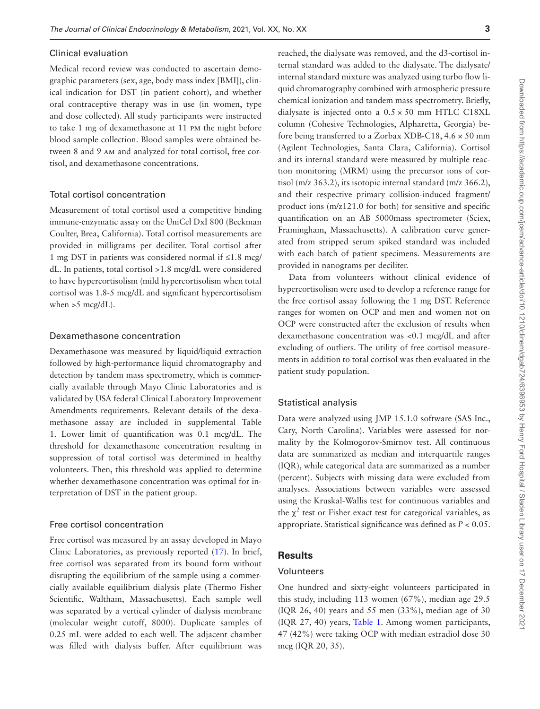#### Clinical evaluation

Medical record review was conducted to ascertain demographic parameters (sex, age, body mass index [BMI]), clinical indication for DST (in patient cohort), and whether oral contraceptive therapy was in use (in women, type and dose collected). All study participants were instructed to take 1 mg of dexamethasone at 11 pm the night before blood sample collection. Blood samples were obtained between 8 and 9 am and analyzed for total cortisol, free cortisol, and dexamethasone concentrations.

#### Total cortisol concentration

Measurement of total cortisol used a competitive binding immune-enzymatic assay on the UniCel DxI 800 (Beckman Coulter, Brea, California). Total cortisol measurements are provided in milligrams per deciliter. Total cortisol after 1 mg DST in patients was considered normal if ≤1.8 mcg/ dL. In patients, total cortisol >1.8 mcg/dL were considered to have hypercortisolism (mild hypercortisolism when total cortisol was 1.8-5 mcg/dL and significant hypercortisolism when  $>5$  mcg/dL).

#### Dexamethasone concentration

Dexamethasone was measured by liquid/liquid extraction followed by high-performance liquid chromatography and detection by tandem mass spectrometry, which is commercially available through Mayo Clinic Laboratories and is validated by USA federal Clinical Laboratory Improvement Amendments requirements. Relevant details of the dexamethasone assay are included in supplemental Table 1. Lower limit of quantification was 0.1 mcg/dL. The threshold for dexamethasone concentration resulting in suppression of total cortisol was determined in healthy volunteers. Then, this threshold was applied to determine whether dexamethasone concentration was optimal for interpretation of DST in the patient group.

#### Free cortisol concentration

Free cortisol was measured by an assay developed in Mayo Clinic Laboratories, as previously reported ([17\)](#page-11-11). In brief, free cortisol was separated from its bound form without disrupting the equilibrium of the sample using a commercially available equilibrium dialysis plate (Thermo Fisher Scientific, Waltham, Massachusetts). Each sample well was separated by a vertical cylinder of dialysis membrane (molecular weight cutoff, 8000). Duplicate samples of 0.25 mL were added to each well. The adjacent chamber was filled with dialysis buffer. After equilibrium was reached, the dialysate was removed, and the d3-cortisol internal standard was added to the dialysate. The dialysate/ internal standard mixture was analyzed using turbo flow liquid chromatography combined with atmospheric pressure chemical ionization and tandem mass spectrometry. Briefly, dialysate is injected onto a  $0.5 \times 50$  mm HTLC C18XL column (Cohesive Technologies, Alpharetta, Georgia) before being transferred to a Zorbax XDB-C18, 4.6 × 50 mm (Agilent Technologies, Santa Clara, California). Cortisol and its internal standard were measured by multiple reaction monitoring (MRM) using the precursor ions of cortisol (m/z 363.2), its isotopic internal standard (m/z 366.2), and their respective primary collision-induced fragment/ product ions (m/z121.0 for both) for sensitive and specific quantification on an AB 5000mass spectrometer (Sciex, Framingham, Massachusetts). A calibration curve generated from stripped serum spiked standard was included with each batch of patient specimens. Measurements are provided in nanograms per deciliter.

Data from volunteers without clinical evidence of hypercortisolism were used to develop a reference range for the free cortisol assay following the 1 mg DST. Reference ranges for women on OCP and men and women not on OCP were constructed after the exclusion of results when dexamethasone concentration was <0.1 mcg/dL and after excluding of outliers. The utility of free cortisol measurements in addition to total cortisol was then evaluated in the patient study population.

#### Statistical analysis

Data were analyzed using JMP 15.1.0 software (SAS Inc., Cary, North Carolina). Variables were assessed for normality by the Kolmogorov-Smirnov test. All continuous data are summarized as median and interquartile ranges (IQR), while categorical data are summarized as a number (percent). Subjects with missing data were excluded from analyses. Associations between variables were assessed using the Kruskal-Wallis test for continuous variables and the  $\chi^2$  test or Fisher exact test for categorical variables, as appropriate. Statistical significance was defined as *P* < 0.05.

# **Results**

#### Volunteers

One hundred and sixty-eight volunteers participated in this study, including 113 women (67%), median age 29.5 (IQR 26, 40) years and 55 men (33%), median age of 30 (IQR 27, 40) years, [Table 1](#page-5-0). Among women participants, 47 (42%) were taking OCP with median estradiol dose 30 mcg (IQR 20, 35).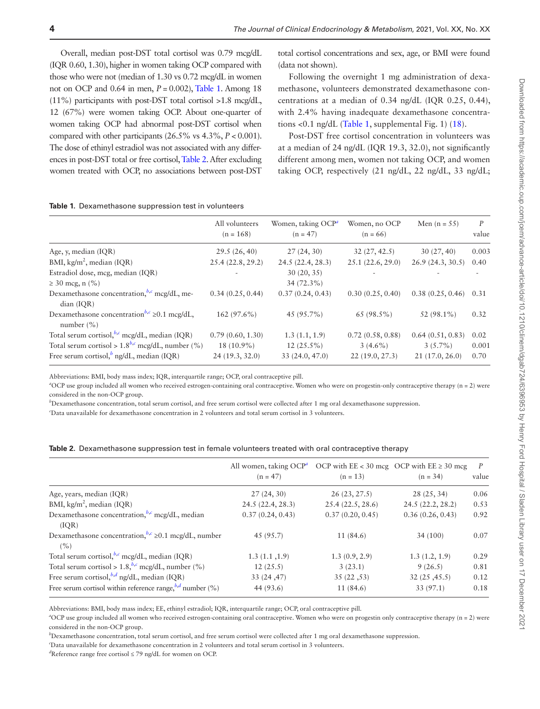Overall, median post-DST total cortisol was 0.79 mcg/dL (IQR 0.60, 1.30), higher in women taking OCP compared with those who were not (median of 1.30 vs 0.72 mcg/dL in women not on OCP and 0.64 in men, *P* = 0.002), [Table 1](#page-5-0). Among 18  $(11\%)$  participants with post-DST total cortisol >1.8 mcg/dL, 12 (67%) were women taking OCP. About one-quarter of women taking OCP had abnormal post-DST cortisol when compared with other participants (26.5% vs 4.3%, *P* < 0.001). The dose of ethinyl estradiol was not associated with any differences in post-DST total or free cortisol, [Table 2.](#page-5-1) After excluding women treated with OCP, no associations between post-DST

total cortisol concentrations and sex, age, or BMI were found (data not shown).

Following the overnight 1 mg administration of dexamethasone, volunteers demonstrated dexamethasone concentrations at a median of 0.34 ng/dL (IQR 0.25, 0.44), with 2.4% having inadequate dexamethasone concentra-tions <0.1 ng/dL [\(Table 1,](#page-5-0) supplemental Fig. 1) ([18](#page-11-12)).

Post-DST free cortisol concentration in volunteers was at a median of 24 ng/dL (IQR 19.3, 32.0), not significantly different among men, women not taking OCP, and women taking OCP, respectively (21 ng/dL, 22 ng/dL, 33 ng/dL;

<span id="page-5-0"></span>

| All volunteers<br>$(n = 168)$                       | Women, taking OCP <sup>a</sup><br>$(n = 47)$     | Women, no OCP<br>$(n = 66)$                      | Men $(n = 55)$                                   | $\boldsymbol{P}$<br>value |
|-----------------------------------------------------|--------------------------------------------------|--------------------------------------------------|--------------------------------------------------|---------------------------|
| 29.5(26, 40)                                        | 27(24, 30)                                       | 32(27, 42.5)                                     | 30(27, 40)                                       | 0.003                     |
| 25.4(22.8, 29.2)                                    | 24.5 (22.4, 28.3)                                | 25.1(22.6, 29.0)                                 | 26.9(24.3, 30.5)                                 | 0.40                      |
|                                                     | 30(20, 35)                                       |                                                  |                                                  |                           |
|                                                     | $34(72.3\%)$                                     |                                                  |                                                  |                           |
| 0.34(0.25, 0.44)                                    | 0.37(0.24, 0.43)                                 | 0.30(0.25, 0.40)                                 |                                                  | 0.31                      |
| $162(97.6\%)$                                       | 45 $(95.7\%)$                                    | $65(98.5\%)$                                     | 52 (98.1%)                                       | 0.32                      |
| 0.79(0.60, 1.30)<br>$18(10.9\%)$<br>24 (19.3, 32.0) | 1.3(1.1, 1.9)<br>$12(25.5\%)$<br>33 (24.0, 47.0) | 0.72(0.58, 0.88)<br>$3(4.6\%)$<br>22(19.0, 27.3) | 0.64(0.51, 0.83)<br>$3(5.7\%)$<br>21(17.0, 26.0) | 0.02<br>0.001<br>0.70     |
|                                                     |                                                  |                                                  |                                                  | 0.38(0.25, 0.46)          |

Abbreviations: BMI, body mass index; IQR, interquartile range; OCP, oral contraceptive pill.

<span id="page-5-2"></span><sup>a</sup>OCP use group included all women who received estrogen-containing oral contraceptive. Women who were on progestin-only contraceptive therapy (n = 2) were considered in the non-OCP group.

<span id="page-5-3"></span>*b* Dexamethasone concentration, total serum cortisol, and free serum cortisol were collected after 1 mg oral dexamethasone suppression.

<span id="page-5-4"></span>*c* Data unavailable for dexamethasone concentration in 2 volunteers and total serum cortisol in 3 volunteers.

<span id="page-5-1"></span>

|  | ${\bf Table~2}.$ Dexamethasone suppression test in female volunteers treated with oral contraceptive therapy |  |  |  |  |  |  |  |  |  |
|--|--------------------------------------------------------------------------------------------------------------|--|--|--|--|--|--|--|--|--|
|--|--------------------------------------------------------------------------------------------------------------|--|--|--|--|--|--|--|--|--|

|                                                                    | All women, taking $OCP^a$<br>$(n = 47)$ | $(n = 13)$       | OCP with $EE < 30$ mcg OCP with $EE \ge 30$ mcg<br>$(n = 34)$ | P<br>value |
|--------------------------------------------------------------------|-----------------------------------------|------------------|---------------------------------------------------------------|------------|
| Age, years, median (IQR)                                           | 27(24, 30)                              | 26(23, 27.5)     | 28(25, 34)                                                    | 0.06       |
| BMI, $\text{kg/m}^2$ , median (IQR)                                | 24.5 (22.4, 28.3)                       | 25.4(22.5, 28.6) | 24.5 (22.2, 28.2)                                             | 0.53       |
| Dexamethasone concentration, $^{b,c}$ mcg/dL, median<br>(IOR)      | 0.37(0.24, 0.43)                        | 0.37(0.20, 0.45) | 0.36(0.26, 0.43)                                              | 0.92       |
| Dexamethasone concentration, $b, c \ge 0.1$ mcg/dL, number<br>(% ) | 45 (95.7)                               | 11 (84.6)        | 34(100)                                                       | 0.07       |
| Total serum cortisol, $^{b,c}$ mcg/dL, median (IQR)                | 1.3(1.1, 1.9)                           | 1.3(0.9, 2.9)    | 1.3(1.2, 1.9)                                                 | 0.29       |
| Total serum cortisol > $1.8$ , $^{b,c}$ mcg/dL, number (%)         | 12(25.5)                                | 3(23.1)          | 9(26.5)                                                       | 0.81       |
| Free serum cortisol, $^{b,d}$ ng/dL, median (IQR)                  | 33(24, 47)                              | 35(22, 53)       | 32(25, 45.5)                                                  | 0.12       |
| Free serum cortisol within reference range, $^{b,d}$ number (%)    | 44 (93.6)                               | 11(84.6)         | 33(97.1)                                                      | 0.18       |
|                                                                    |                                         |                  |                                                               |            |

Abbreviations: BMI, body mass index; EE, ethinyl estradiol; IQR, interquartile range; OCP, oral contraceptive pill.

<span id="page-5-5"></span>*a* OCP use group included all women who received estrogen-containing oral contraceptive. Women who were on progestin only contraceptive therapy (n = 2) were considered in the non-OCP group.

<span id="page-5-6"></span>*b* Dexamethasone concentration, total serum cortisol, and free serum cortisol were collected after 1 mg oral dexamethasone suppression.

<span id="page-5-7"></span>*c* Data unavailable for dexamethasone concentration in 2 volunteers and total serum cortisol in 3 volunteers.

<span id="page-5-8"></span>*d* Reference range free cortisol ≤ 79 ng/dL for women on OCP.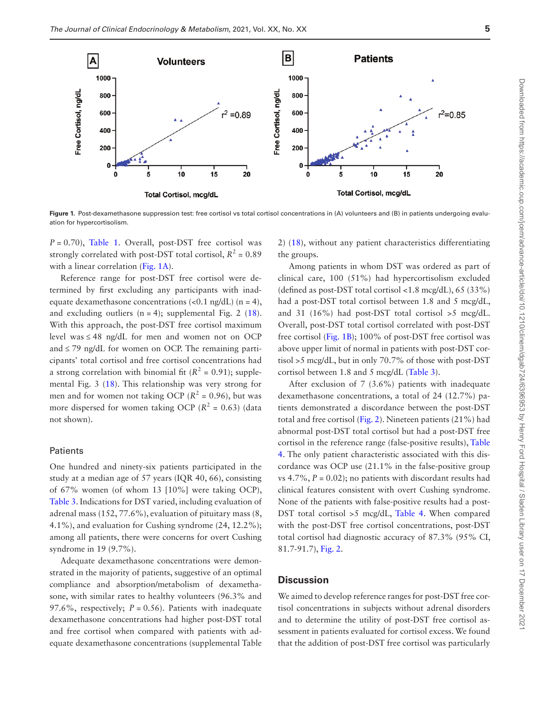

<span id="page-6-0"></span>**Figure 1.** Post-dexamethasone suppression test: free cortisol vs total cortisol concentrations in (A) volunteers and (B) in patients undergoing evaluation for hypercortisolism.

 $P = 0.70$ , [Table 1](#page-5-0). Overall, post-DST free cortisol was strongly correlated with post-DST total cortisol,  $R^2 = 0.89$ with a linear correlation ([Fig. 1A\)](#page-6-0).

Reference range for post-DST free cortisol were determined by first excluding any participants with inadequate dexamethasone concentrations  $\langle$ <0.1 ng/dL) (n = 4), and excluding outliers  $(n = 4)$ ; supplemental Fig. 2 [\(18](#page-11-12)). With this approach, the post-DST free cortisol maximum level was  $\leq 48$  ng/dL for men and women not on OCP and  $\leq$  79 ng/dL for women on OCP. The remaining participants' total cortisol and free cortisol concentrations had a strong correlation with binomial fit  $(R^2 = 0.91)$ ; supplemental Fig. 3 [\(18](#page-11-12)). This relationship was very strong for men and for women not taking OCP ( $R^2$  = 0.96), but was more dispersed for women taking OCP ( $R^2 = 0.63$ ) (data not shown).

#### Patients

One hundred and ninety-six patients participated in the study at a median age of 57 years (IQR 40, 66), consisting of 67% women (of whom 13 [10%] were taking OCP), [Table 3.](#page-7-0) Indications for DST varied, including evaluation of adrenal mass (152, 77.6%), evaluation of pituitary mass (8, 4.1%), and evaluation for Cushing syndrome (24, 12.2%); among all patients, there were concerns for overt Cushing syndrome in 19 (9.7%).

Adequate dexamethasone concentrations were demonstrated in the majority of patients, suggestive of an optimal compliance and absorption/metabolism of dexamethasone, with similar rates to healthy volunteers (96.3% and 97.6%, respectively;  $P = 0.56$ ). Patients with inadequate dexamethasone concentrations had higher post-DST total and free cortisol when compared with patients with adequate dexamethasone concentrations (supplemental Table 2) [\(18\)](#page-11-12), without any patient characteristics differentiating the groups.

Among patients in whom DST was ordered as part of clinical care, 100 (51%) had hypercortisolism excluded (defined as post-DST total cortisol <1.8 mcg/dL), 65 (33%) had a post-DST total cortisol between 1.8 and 5 mcg/dL, and 31 (16%) had post-DST total cortisol >5 mcg/dL. Overall, post-DST total cortisol correlated with post-DST free cortisol ([Fig. 1B\)](#page-6-0); 100% of post-DST free cortisol was above upper limit of normal in patients with post-DST cortisol >5 mcg/dL, but in only 70.7% of those with post-DST cortisol between 1.8 and 5 mcg/dL ([Table 3](#page-7-0)).

After exclusion of 7 (3.6%) patients with inadequate dexamethasone concentrations, a total of 24 (12.7%) patients demonstrated a discordance between the post-DST total and free cortisol ([Fig. 2\)](#page-8-0). Nineteen patients (21%) had abnormal post-DST total cortisol but had a post-DST free cortisol in the reference range (false-positive results), [Table](#page-8-1)  [4.](#page-8-1) The only patient characteristic associated with this discordance was OCP use (21.1% in the false-positive group vs  $4.7\%$ ,  $P = 0.02$ ); no patients with discordant results had clinical features consistent with overt Cushing syndrome. None of the patients with false-positive results had a post-DST total cortisol >5 mcg/dL, [Table 4](#page-8-1). When compared with the post-DST free cortisol concentrations, post-DST total cortisol had diagnostic accuracy of 87.3% (95% CI, 81.7-91.7), [Fig. 2.](#page-8-0)

#### **Discussion**

We aimed to develop reference ranges for post-DST free cortisol concentrations in subjects without adrenal disorders and to determine the utility of post-DST free cortisol assessment in patients evaluated for cortisol excess. We found that the addition of post-DST free cortisol was particularly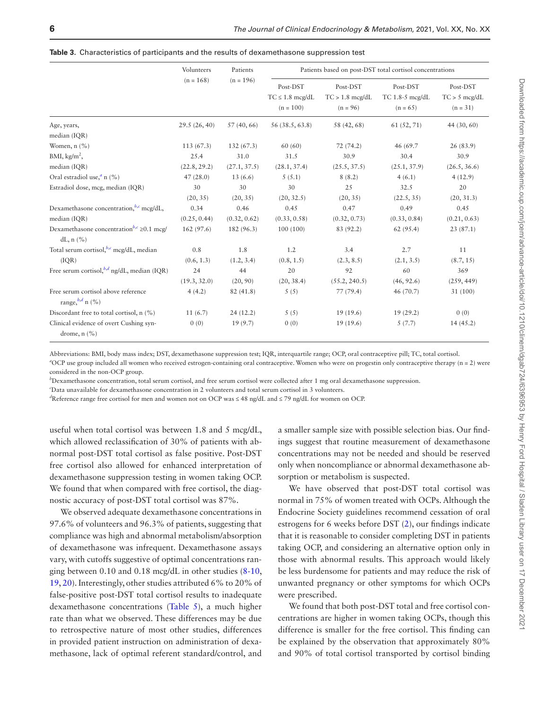<span id="page-7-0"></span>

|  |  |  |  |  | <b>Table 3.</b> Characteristics of participants and the results of dexamethasone suppression test |  |  |
|--|--|--|--|--|---------------------------------------------------------------------------------------------------|--|--|
|--|--|--|--|--|---------------------------------------------------------------------------------------------------|--|--|

|                                                                           | Volunteers   | Patients     |                                                 |                                             | Patients based on post-DST total cortisol concentrations |                                           |
|---------------------------------------------------------------------------|--------------|--------------|-------------------------------------------------|---------------------------------------------|----------------------------------------------------------|-------------------------------------------|
|                                                                           | $(n = 168)$  | $(n = 196)$  | Post-DST<br>$TC \leq 1.8$ mcg/dL<br>$(n = 100)$ | Post-DST<br>$TC > 1.8$ mcg/dL<br>$(n = 96)$ | Post-DST<br>TC $1.8 - 5$ mcg/dL<br>$(n = 65)$            | Post-DST<br>$TC > 5$ mcg/dL<br>$(n = 31)$ |
| Age, years,<br>median (IQR)                                               | 29.5(26, 40) | 57(40, 66)   | 56 (38.5, 63.8)                                 | 58 (42, 68)                                 | 61(52, 71)                                               | 44 (30, 60)                               |
| Women, n (%)                                                              | 113(67.3)    | 132(67.3)    | 60(60)                                          | 72(74.2)                                    | 46 (69.7)                                                | 26(83.9)                                  |
| BMI, $kg/m2$ ,                                                            | 25.4         | 31.0         | 31.5                                            | 30.9                                        | 30.4                                                     | 30.9                                      |
| median (IQR)                                                              | (22.8, 29.2) | (27.1, 37.5) | (28.1, 37.4)                                    | (25.5, 37.5)                                | (25.1, 37.9)                                             | (26.5, 36.6)                              |
| Oral estradiol use, <sup><i>a</i></sup> n (%)                             | 47(28.0)     | 13(6.6)      | 5(5.1)                                          | 8(8.2)                                      | 4(6.1)                                                   | 4(12.9)                                   |
| Estradiol dose, mcg, median (IQR)                                         | 30           | 30           | 30                                              | 25                                          | 32.5                                                     | 20                                        |
|                                                                           | (20, 35)     | (20, 35)     | (20, 32.5)                                      | (20, 35)                                    | (22.5, 35)                                               | (20, 31.3)                                |
| Dexamethasone concentration, b,c mcg/dL,                                  | 0.34         | 0.46         | 0.45                                            | 0.47                                        | 0.49                                                     | 0.45                                      |
| median (IQR)                                                              | (0.25, 0.44) | (0.32, 0.62) | (0.33, 0.58)                                    | (0.32, 0.73)                                | (0.33, 0.84)                                             | (0.21, 0.63)                              |
| Dexamethasone concentration <sup>b,c</sup> $\geq$ 0.1 mcg/<br>dL, $n$ (%) | 162(97.6)    | 182 (96.3)   | 100(100)                                        | 83 (92.2)                                   | 62(95.4)                                                 | 23(87.1)                                  |
| Total serum cortisol, $^{b,c}$ mcg/dL, median                             | 0.8          | 1.8          | 1.2                                             | 3.4                                         | 2.7                                                      | 11                                        |
| (IQR)                                                                     | (0.6, 1.3)   | (1.2, 3.4)   | (0.8, 1.5)                                      | (2.3, 8.5)                                  | (2.1, 3.5)                                               | (8.7, 15)                                 |
| Free serum cortisol, $^{b,d}$ ng/dL, median (IQR)                         | 24           | 44           | 20                                              | 92                                          | 60                                                       | 369                                       |
|                                                                           | (19.3, 32.0) | (20, 90)     | (20, 38.4)                                      | (55.2, 240.5)                               | (46, 92.6)                                               | (259, 449)                                |
| Free serum cortisol above reference<br>range, $^{b,d}$ n (%)              | 4(4.2)       | 82(41.8)     | 5(5)                                            | 77(79.4)                                    | 46 (70.7)                                                | 31 (100)                                  |
| Discordant free to total cortisol, n (%)                                  | 11(6.7)      | 24(12.2)     | 5(5)                                            | 19(19.6)                                    | 19(29.2)                                                 | 0(0)                                      |
| Clinical evidence of overt Cushing syn-<br>drome, $n$ $(\%)$              | 0(0)         | 19(9.7)      | 0(0)                                            | 19(19.6)                                    | 5(7.7)                                                   | 14(45.2)                                  |

Abbreviations: BMI, body mass index; DST, dexamethasone suppression test; IQR, interquartile range; OCP, oral contraceptive pill; TC, total cortisol. *a* OCP use group included all women who received estrogen-containing oral contraceptive. Women who were on progestin only contraceptive therapy (n = 2) were

<span id="page-7-1"></span>considered in the non-OCP group.

<span id="page-7-2"></span>*b* Dexamethasone concentration, total serum cortisol, and free serum cortisol were collected after 1 mg oral dexamethasone suppression.

<span id="page-7-3"></span>*c* Data unavailable for dexamethasone concentration in 2 volunteers and total serum cortisol in 3 volunteers.

<span id="page-7-4"></span>*d* Reference range free cortisol for men and women not on OCP was ≤ 48 ng/dL and ≤ 79 ng/dL for women on OCP.

useful when total cortisol was between 1.8 and 5 mcg/dL, which allowed reclassification of 30% of patients with abnormal post-DST total cortisol as false positive. Post-DST free cortisol also allowed for enhanced interpretation of dexamethasone suppression testing in women taking OCP. We found that when compared with free cortisol, the diagnostic accuracy of post-DST total cortisol was 87%.

We observed adequate dexamethasone concentrations in 97.6% of volunteers and 96.3% of patients, suggesting that compliance was high and abnormal metabolism/absorption of dexamethasone was infrequent. Dexamethasone assays vary, with cutoffs suggestive of optimal concentrations ranging between 0.10 and 0.18 mcg/dL in other studies ([8](#page-11-7)[-10](#page-11-8), [19,](#page-11-13) [20](#page-11-14)). Interestingly, other studies attributed 6% to 20% of false-positive post-DST total cortisol results to inadequate dexamethasone concentrations ([Table 5](#page-9-0)), a much higher rate than what we observed. These differences may be due to retrospective nature of most other studies, differences in provided patient instruction on administration of dexamethasone, lack of optimal referent standard/control, and

a smaller sample size with possible selection bias. Our findings suggest that routine measurement of dexamethasone concentrations may not be needed and should be reserved only when noncompliance or abnormal dexamethasone absorption or metabolism is suspected.

We have observed that post-DST total cortisol was normal in 75% of women treated with OCPs. Although the Endocrine Society guidelines recommend cessation of oral estrogens for 6 weeks before DST [\(2](#page-11-2)), our findings indicate that it is reasonable to consider completing DST in patients taking OCP, and considering an alternative option only in those with abnormal results. This approach would likely be less burdensome for patients and may reduce the risk of unwanted pregnancy or other symptoms for which OCPs were prescribed.

We found that both post-DST total and free cortisol concentrations are higher in women taking OCPs, though this difference is smaller for the free cortisol. This finding can be explained by the observation that approximately 80% and 90% of total cortisol transported by cortisol binding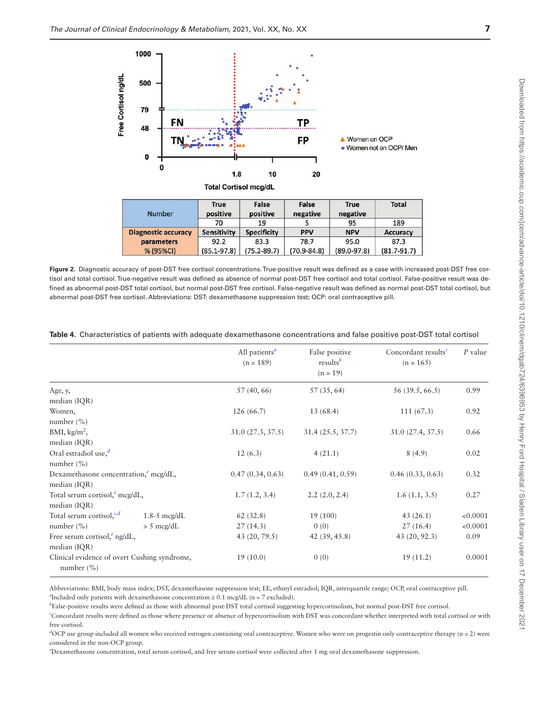

<span id="page-8-0"></span>**Figure 2.** Diagnostic accuracy of post-DST free cortisol concentrations. True-positive result was defined as a case with increased post-DST free cortisol and total cortisol. True-negative result was defined as absence of normal post-DST free cortisol and total cortisol. False-positive result was defined as abnormal post-DST total cortisol, but normal post-DST free cortisol. False-negative result was defined as normal post-DST total cortisol, but abnormal post-DST free cortisol. Abbreviations: DST: dexamethasone suppression test; OCP: oral contraceptive pill.

|                                                                |                  | All patients <sup>a</sup><br>$(n = 189)$ | False positive<br>$results^b$<br>$(n = 19)$ | Concordant results <sup>c</sup><br>$(n = 165)$ | $P$ value |
|----------------------------------------------------------------|------------------|------------------------------------------|---------------------------------------------|------------------------------------------------|-----------|
| Age, y,                                                        |                  | 57 (40, 66)                              | 57(35, 64)                                  | 56 (39.5, 66.5)                                | 0.99      |
| median (IQR)                                                   |                  |                                          |                                             |                                                |           |
| Women,                                                         |                  | 126(66.7)                                | 13(68.4)                                    | 111(67.3)                                      | 0.92      |
| number $(\% )$                                                 |                  |                                          |                                             |                                                |           |
| BMI, $\text{kg/m}^2$ ,                                         |                  | 31.0(27.3, 37.5)                         | 31.4(25.5, 37.7)                            | 31.0 (27.4, 37.5)                              | 0.66      |
| median (IQR)                                                   |                  |                                          |                                             |                                                |           |
| Oral estradiol use, $d$                                        |                  | 12(6.3)                                  | 4(21.1)                                     | 8(4.9)                                         | 0.02      |
| number $(\% )$                                                 |                  |                                          |                                             |                                                |           |
| Dexamethasone concentration, <sup>e</sup> mcg/dL,              |                  | 0.47(0.34, 0.63)                         | 0.49(0.41, 0.59)                            | 0.46(0.33, 0.63)                               | 0.32      |
| median (IQR)                                                   |                  |                                          |                                             |                                                |           |
| Total serum cortisol, mcg/dL,                                  |                  | 1.7(1.2, 3.4)                            | 2.2(2.0, 2.4)                               | 1.6(1.1, 3.5)                                  | 0.27      |
| median (IQR)                                                   |                  |                                          |                                             |                                                |           |
| Total serum cortisol, <sup>c,d</sup>                           | $1.8 - 5$ mcg/dL | 62(32.8)                                 | 19 (100)                                    | 43(26.1)                                       | < 0.0001  |
| number $(\% )$                                                 | $> 5$ mcg/dL     | 27(14.3)                                 | 0(0)                                        | 27(16.4)                                       | < 0.0001  |
| Free serum cortisol, $\epsilon$ ng/dL,                         |                  | 43 (20, 79.5)                            | 42(39, 45.8)                                | 43 (20, 92.3)                                  | 0.09      |
| median (IQR)                                                   |                  |                                          |                                             |                                                |           |
| Clinical evidence of overt Cushing syndrome,<br>number $(\% )$ |                  | 19(10.0)                                 | 0(0)                                        | 19(11.2)                                       | 0.0001    |

<span id="page-8-1"></span>**Table 4.** Characteristics of patients with adequate dexamethasone concentrations and false positive post-DST total cortisol

<span id="page-8-2"></span>Abbreviations: BMI, body mass index; DST, dexamethasone suppression test; EE, ethinyl estradiol; IQR, interquartile range; OCP, oral contraceptive pill.  $a$ Included only patients with dexamethasone concentration  $\geq 0.1$  mcg/dL (n = 7 excluded).

<span id="page-8-3"></span>*b* False-positive results were defined as those with abnormal post-DST total cortisol suggesting hypercortisolism, but normal post-DST free cortisol.

<span id="page-8-4"></span>*c* Concordant results were defined as those where presence or absence of hypercortisolism with DST was concordant whether interpreted with total cortisol or with free cortisol.

<span id="page-8-5"></span>*d* OCP use group included all women who received estrogen-containing oral contraceptive. Women who were on progestin only contraceptive therapy (n = 2) were considered in the non-OCP group.

<span id="page-8-6"></span>*e* Dexamethasone concentration, total serum cortisol, and free serum cortisol were collected after 1 mg oral dexamethasone suppression.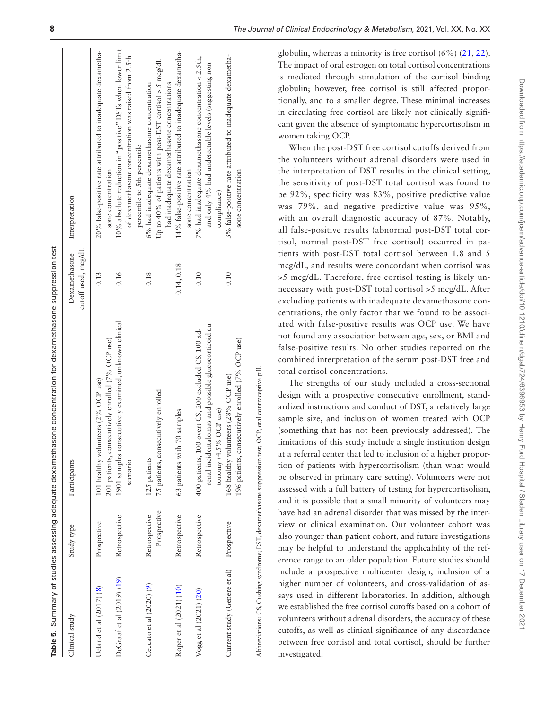|                              |                              | Table 5. Summary of studies assessing adequate dexamethasone concentration for dexamethasone suppression test                            |                                      |                                                                                                                                            |
|------------------------------|------------------------------|------------------------------------------------------------------------------------------------------------------------------------------|--------------------------------------|--------------------------------------------------------------------------------------------------------------------------------------------|
| Clinical study               | Study type                   | Participants                                                                                                                             | cutoff used, mcg/dL<br>Dexamethasone | Interpretation                                                                                                                             |
| Ueland et al (2017) (8)      | Prospective                  | 201 patients, consecutively enrolled (7% OCP use)<br>101 healthy volunteers (2% OCP use)                                                 | 0.13                                 | 20% false-positive rate attributed to inadequate dexametha-<br>sone concentration                                                          |
| DeGraaf et al (2019) (19)    | Retrospective                | 1901 samples consecutively examined, unknown clinical<br>scenario                                                                        | 0.16                                 | 10% absolute reduction in "positive" DSTs when lower limit<br>of dexamethasone concentration was raised from 2.5th                         |
| Ceccato et al $(2020)$ $(9)$ | Prospective<br>Retrospective | 75 patients, consecutively enrolled<br>125 patients                                                                                      | 0.18                                 | Up to 40% of patients with post-DST cortisol $>$ 5 mcg/dL<br>6% had inadequate dexamethasone concentration<br>percentile to 5th percentile |
| Roper et al (2021) (10)      | Retrospective                | 63 patients with 70 samples                                                                                                              | 0.14, 0.18                           | 14% false-positive rate attributed to inadequate dexametha-<br>had inadequate dexamethasone concentrations<br>sone concentration           |
| Vogg et al (2021) (20)       | Retrospective                | renal incidentalomas and possible glucocorticoid au-<br>400 patients, 100 overt CS, 200 excluded CS, 100 ad-<br>tonomy $(4.5\%$ OCP use) | 0.10                                 | 7% had inadequate dexamethasone concentration < 2.5th,<br>and only 4% had undetectable levels (suggesting non-<br>compliance)              |
| Current study (Genere et al) | Prospective                  | 196 patients, consecutively enrolled (7% OCP use)<br>168 healthy volunteers (28% OCP use)                                                | 0.10                                 | 3% false-positive rate attributed to inadequate dexametha-<br>sone concentration                                                           |
|                              |                              |                                                                                                                                          |                                      |                                                                                                                                            |

**8** *The Journal of Clinical Endocrinology & Metabolism*, 2021, Vol. XX, No. XX

globulin, whereas a minority is free cortisol (6%) ([21](#page-11-15), [22](#page-11-16)). The impact of oral estrogen on total cortisol concentrations is mediated through stimulation of the cortisol binding globulin; however, free cortisol is still affected proportionally, and to a smaller degree. These minimal increases in circulating free cortisol are likely not clinically significant given the absence of symptomatic hypercortisolism in women taking OCP.

When the post-DST free cortisol cutoffs derived from the volunteers without adrenal disorders were used in the interpretation of DST results in the clinical setting, the sensitivity of post-DST total cortisol was found to be 92%, specificity was 83%, positive predictive value was 79%, and negative predictive value was 95%, with an overall diagnostic accuracy of 87%. Notably, all false-positive results (abnormal post-DST total cortisol, normal post-DST free cortisol) occurred in patients with post-DST total cortisol between 1.8 and 5 mcg/dL, and results were concordant when cortisol was >5 mcg/dL. Therefore, free cortisol testing is likely unnecessary with post-DST total cortisol >5 mcg/dL. After excluding patients with inadequate dexamethasone concentrations, the only factor that we found to be associated with false-positive results was OCP use. We have not found any association between age, sex, or BMI and false-positive results. No other studies reported on the combined interpretation of the serum post-DST free and total cortisol concentrations.

The strengths of our study included a cross-sectional design with a prospective consecutive enrollment, standardized instructions and conduct of DST, a relatively large sample size, and inclusion of women treated with OCP (something that has not been previously addressed). The limitations of this study include a single institution design at a referral center that led to inclusion of a higher proportion of patients with hypercortisolism (than what would be observed in primary care setting). Volunteers were not assessed with a full battery of testing for hypercortisolism, and it is possible that a small minority of volunteers may have had an adrenal disorder that was missed by the interview or clinical examination. Our volunteer cohort was also younger than patient cohort, and future investigations may be helpful to understand the applicability of the reference range to an older population. Future studies should include a prospective multicenter design, inclusion of a higher number of volunteers, and cross-validation of assays used in different laboratories. In addition, although we established the free cortisol cutoffs based on a cohort of volunteers without adrenal disorders, the accuracy of these cutoffs, as well as clinical significance of any discordance between free cortisol and total cortisol, should be further investigated.

Abbreviations: CS, Cushing syndrome; DST, dexamethasone suppression test; OCP, oral contraceptive pill.

<span id="page-9-0"></span>Abbreviations: CS, Cushing syndrome; DST, dexamethasone suppression test; OCP, oral contraceptive pill.

 $\overline{1}$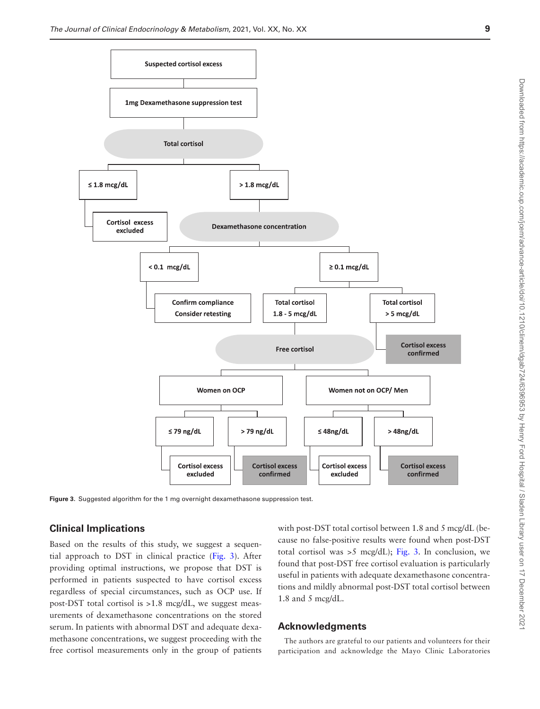



<span id="page-10-0"></span>**Figure 3.** Suggested algorithm for the 1 mg overnight dexamethasone suppression test.

## **Clinical Implications**

Based on the results of this study, we suggest a sequential approach to DST in clinical practice [\(Fig. 3](#page-10-0)). After providing optimal instructions, we propose that DST is performed in patients suspected to have cortisol excess regardless of special circumstances, such as OCP use. If post-DST total cortisol is >1.8 mcg/dL, we suggest measurements of dexamethasone concentrations on the stored serum. In patients with abnormal DST and adequate dexamethasone concentrations, we suggest proceeding with the free cortisol measurements only in the group of patients

with post-DST total cortisol between 1.8 and 5 mcg/dL (because no false-positive results were found when post-DST total cortisol was >5 mcg/dL); [Fig. 3](#page-10-0). In conclusion, we found that post-DST free cortisol evaluation is particularly useful in patients with adequate dexamethasone concentrations and mildly abnormal post-DST total cortisol between 1.8 and 5 mcg/dL.

### **Acknowledgments**

The authors are grateful to our patients and volunteers for their participation and acknowledge the Mayo Clinic Laboratories